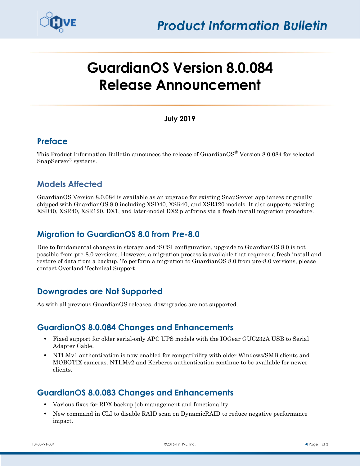

# **GuardianOS Version 8.0.084 Release Announcement**

#### **July 2019**

## **Preface**

This Product Information Bulletin announces the release of Guardian $OS^{\circ}$  Version 8.0.084 for selected SnapServer® systems.

# **Models Affected**

GuardianOS Version 8.0.084 is available as an upgrade for existing SnapServer appliances originally shipped with GuardianOS 8.0 including XSD40, XSR40, and XSR120 models. It also supports existing XSD40, XSR40, XSR120, DX1, and later-model DX2 platforms via a fresh install migration procedure.

## **Migration to GuardianOS 8.0 from Pre-8.0**

Due to fundamental changes in storage and iSCSI configuration, upgrade to GuardianOS 8.0 is not possible from pre-8.0 versions. However, a migration process is available that requires a fresh install and restore of data from a backup. To perform a migration to GuardianOS 8.0 from pre-8.0 versions, please contact Overland Technical Support.

# **Downgrades are Not Supported**

As with all previous GuardianOS releases, downgrades are not supported.

## **GuardianOS 8.0.084 Changes and Enhancements**

- **•** Fixed support for older serial-only APC UPS models with the IOGear GUC232A USB to Serial Adapter Cable.
- **•** NTLMv1 authentication is now enabled for compatibility with older Windows/SMB clients and MOBOTIX cameras. NTLMv2 and Kerberos authentication continue to be available for newer clients.

## **GuardianOS 8.0.083 Changes and Enhancements**

- **•** Various fixes for RDX backup job management and functionality.
- **•** New command in CLI to disable RAID scan on DynamicRAID to reduce negative performance impact.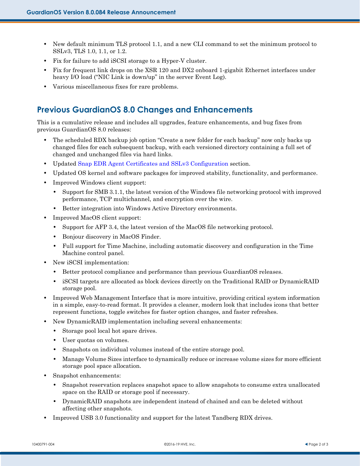- New default minimum TLS protocol 1.1, and a new CLI command to set the minimum protocol to SSLv3, TLS 1.0, 1.1, or 1.2.
- **•** Fix for failure to add iSCSI storage to a Hyper-V cluster.
- **•** Fix for frequent link drops on the XSR 120 and DX2 onboard 1-gigabit Ethernet interfaces under heavy I/O load ("NIC Link is down/up" in the server Event Log).
- **•** Various miscellaneous fixes for rare problems.

# **Previous GuardianOS 8.0 Changes and Enhancements**

This is a cumulative release and includes all upgrades, feature enhancements, and bug fixes from previous GuardianOS 8.0 releases:

- The scheduled RDX backup job option "Create a new folder for each backup" now only backs up changed files for each subsequent backup, with each versioned directory containing a full set of changed and unchanged files via hard links.
- **•** Updated [Snap EDR Agent Certificates and SSLv3 Configuration](#page-2-0) section.
- **•** Updated OS kernel and software packages for improved stability, functionality, and performance.
- **•** Improved Windows client support:
	- **•** Support for SMB 3.1.1, the latest version of the Windows file networking protocol with improved performance, TCP multichannel, and encryption over the wire.
	- **•** Better integration into Windows Active Directory environments.
- **•** Improved MacOS client support:
	- **•** Support for AFP 3.4, the latest version of the MacOS file networking protocol.
	- **•** Bonjour discovery in MacOS Finder.
	- **•** Full support for Time Machine, including automatic discovery and configuration in the Time Machine control panel.
- **•** New iSCSI implementation:
	- **•** Better protocol compliance and performance than previous GuardianOS releases.
	- **•** iSCSI targets are allocated as block devices directly on the Traditional RAID or DynamicRAID storage pool.
- Improved Web Management Interface that is more intuitive, providing critical system information in a simple, easy-to-read format. It provides a cleaner, modern look that includes icons that better represent functions, toggle switches for faster option changes, and faster refreshes.
- **•** New DynamicRAID implementation including several enhancements:
	- **•** Storage pool local hot spare drives.
	- **•** User quotas on volumes.
	- **•** Snapshots on individual volumes instead of the entire storage pool.
	- **•** Manage Volume Sizes interface to dynamically reduce or increase volume sizes for more efficient storage pool space allocation.
- **•** Snapshot enhancements:
	- **•** Snapshot reservation replaces snapshot space to allow snapshots to consume extra unallocated space on the RAID or storage pool if necessary.
	- **•** DynamicRAID snapshots are independent instead of chained and can be deleted without affecting other snapshots.
- **•** Improved USB 3.0 functionality and support for the latest Tandberg RDX drives.